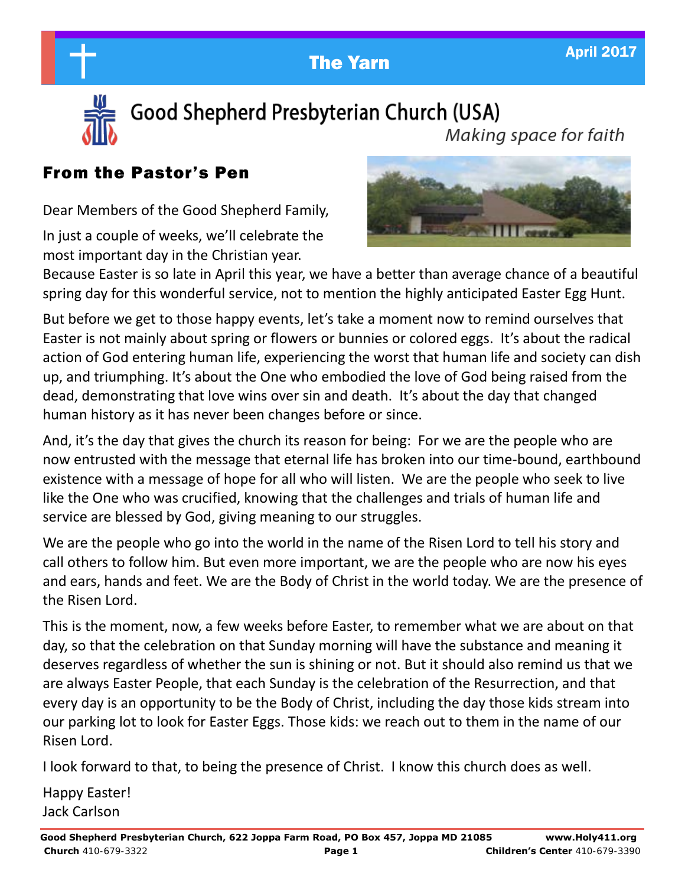**The Yarn April 2017** 



Good Shepherd Presbyterian Church (USA) Making space for faith

## From the Pastor's Pen

Dear Members of the Good Shepherd Family,

In just a couple of weeks, we'll celebrate the most important day in the Christian year.



Because Easter is so late in April this year, we have a better than average chance of a beautiful spring day for this wonderful service, not to mention the highly anticipated Easter Egg Hunt.

But before we get to those happy events, let's take a moment now to remind ourselves that Easter is not mainly about spring or flowers or bunnies or colored eggs. It's about the radical action of God entering human life, experiencing the worst that human life and society can dish up, and triumphing. It's about the One who embodied the love of God being raised from the dead, demonstrating that love wins over sin and death. It's about the day that changed human history as it has never been changes before or since.

And, it's the day that gives the church its reason for being: For we are the people who are now entrusted with the message that eternal life has broken into our time-bound, earthbound existence with a message of hope for all who will listen. We are the people who seek to live like the One who was crucified, knowing that the challenges and trials of human life and service are blessed by God, giving meaning to our struggles.

We are the people who go into the world in the name of the Risen Lord to tell his story and call others to follow him. But even more important, we are the people who are now his eyes and ears, hands and feet. We are the Body of Christ in the world today. We are the presence of the Risen Lord.

This is the moment, now, a few weeks before Easter, to remember what we are about on that day, so that the celebration on that Sunday morning will have the substance and meaning it deserves regardless of whether the sun is shining or not. But it should also remind us that we are always Easter People, that each Sunday is the celebration of the Resurrection, and that every day is an opportunity to be the Body of Christ, including the day those kids stream into our parking lot to look for Easter Eggs. Those kids: we reach out to them in the name of our Risen Lord.

I look forward to that, to being the presence of Christ. I know this church does as well.

Happy Easter! Jack Carlson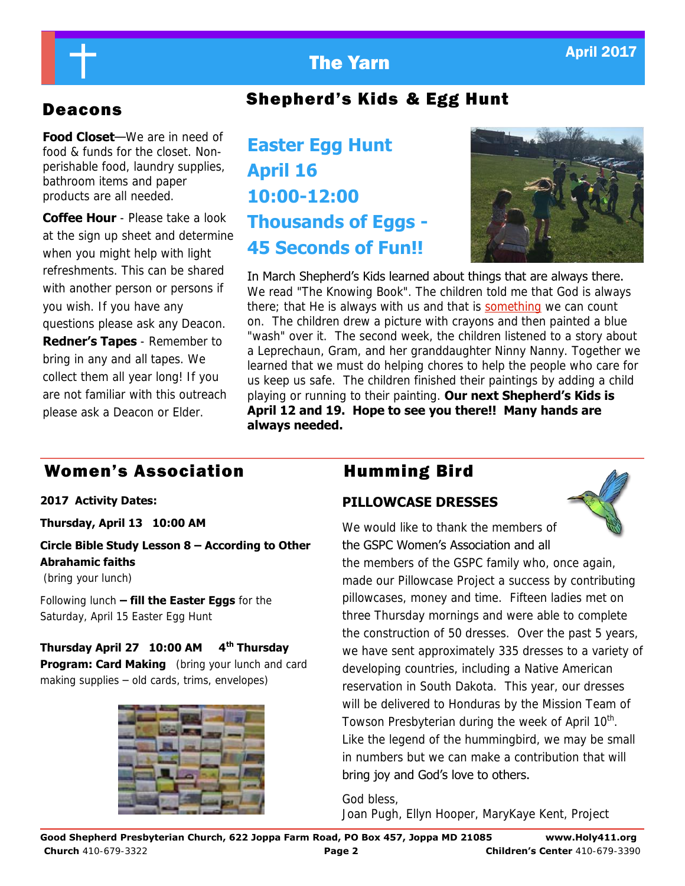

## Deacons Shepherd's Kids & Egg Hunt

**Food Closet**—We are in need of food & funds for the closet. Nonperishable food, laundry supplies, bathroom items and paper products are all needed.

**Coffee Hour** - Please take a look at the sign up sheet and determine when you might help with light refreshments. This can be shared with another person or persons if you wish. If you have any questions please ask any Deacon. **Redner's Tapes** - Remember to bring in any and all tapes. We collect them all year long! If you are not familiar with this outreach please ask a Deacon or Elder.

# **Easter Egg Hunt April 16 10:00-12:00 Thousands of Eggs - 45 Seconds of Fun!!**



In March Shepherd's Kids learned about things that are always there. We read "The Knowing Book". The children told me that God is always there; that He is always with us and that is [something w](http://so.ething)e can count on. The children drew a picture with crayons and then painted a blue "wash" over it. The second week, the children listened to a story about a Leprechaun, Gram, and her granddaughter Ninny Nanny. Together we learned that we must do helping chores to help the people who care for us keep us safe. The children finished their paintings by adding a child playing or running to their painting. **Our next Shepherd's Kids is April 12 and 19. Hope to see you there!! Many hands are always needed.** 

## Women's Association **Humming Bird**

**2017 Activity Dates:** 

#### **Thursday, April 13 10:00 AM**

#### **Circle Bible Study Lesson 8 – According to Other Abrahamic faiths**

(bring your lunch)

Following lunch **– fill the Easter Eggs** for the Saturday, April 15 Easter Egg Hunt

#### **Thursday April 27 10:00 AM 4th Thursday**

**Program: Card Making** (bring your lunch and card making supplies – old cards, trims, envelopes)



### **PILLOWCASE DRESSES**



We would like to thank the members of the GSPC Women's Association and all

the members of the GSPC family who, once again, made our Pillowcase Project a success by contributing pillowcases, money and time. Fifteen ladies met on three Thursday mornings and were able to complete the construction of 50 dresses. Over the past 5 years, we have sent approximately 335 dresses to a variety of developing countries, including a Native American reservation in South Dakota. This year, our dresses will be delivered to Honduras by the Mission Team of Towson Presbyterian during the week of April 10<sup>th</sup>. Like the legend of the hummingbird, we may be small in numbers but we can make a contribution that will bring joy and God's love to others.

God bless, Joan Pugh, Ellyn Hooper, MaryKaye Kent, Project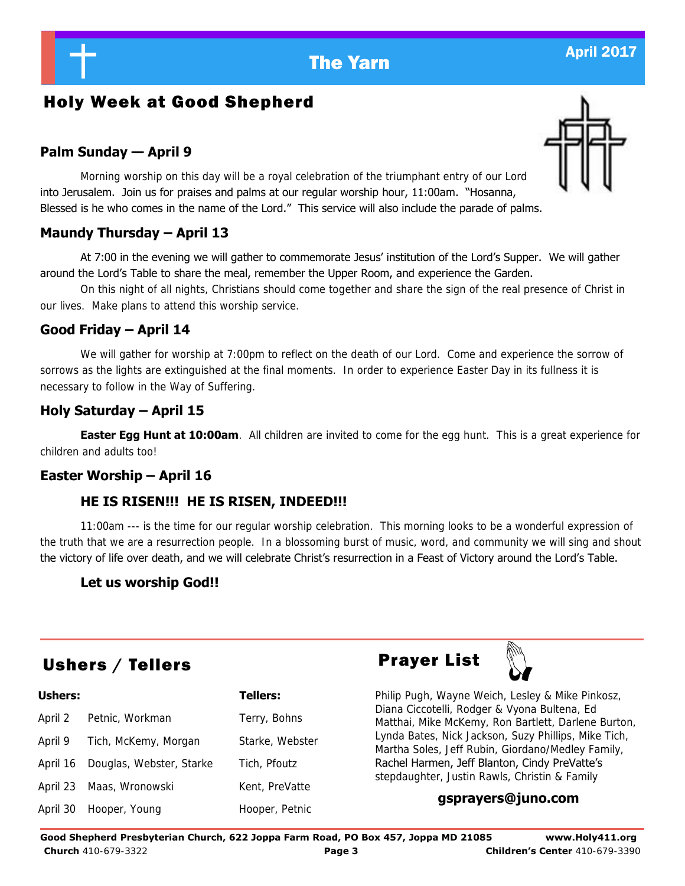## Holy Week at Good Shepherd

## **Palm Sunday — April 9**

 Morning worship on this day will be a royal celebration of the triumphant entry of our Lord into Jerusalem. Join us for praises and palms at our regular worship hour, 11:00am. "Hosanna, Blessed is he who comes in the name of the Lord." This service will also include the parade of palms.

## **Maundy Thursday – April 13**

At 7:00 in the evening we will gather to commemorate Jesus' institution of the Lord's Supper. We will gather around the Lord's Table to share the meal, remember the Upper Room, and experience the Garden.

 On this night of all nights, Christians should come together and share the sign of the real presence of Christ in our lives. Make plans to attend this worship service.

## **Good Friday – April 14**

We will gather for worship at 7:00pm to reflect on the death of our Lord. Come and experience the sorrow of sorrows as the lights are extinguished at the final moments. In order to experience Easter Day in its fullness it is necessary to follow in the Way of Suffering.

## **Holy Saturday – April 15**

**Easter Egg Hunt at 10:00am**. All children are invited to come for the egg hunt. This is a great experience for children and adults too!

## **Easter Worship – April 16**

## **HE IS RISEN!!! HE IS RISEN, INDEED!!!**

11:00am --- is the time for our regular worship celebration. This morning looks to be a wonderful expression of the truth that we are a resurrection people. In a blossoming burst of music, word, and community we will sing and shout the victory of life over death, and we will celebrate Christ's resurrection in a Feast of Victory around the Lord's Table.

## **Let us worship God!!**

# Ushers / Tellers **Prayer List**

| <b>Ushers:</b> |                                   | <b>Tellers:</b> |  |
|----------------|-----------------------------------|-----------------|--|
| April 2        | Petnic, Workman<br>Terry, Bohns   |                 |  |
| April 9        | Tich, McKemy, Morgan              | Starke, Webster |  |
|                | April 16 Douglas, Webster, Starke | Tich, Pfoutz    |  |
|                | April 23 Maas, Wronowski          | Kent, PreVatte  |  |
|                | April 30 Hooper, Young            | Hooper, Petnic  |  |





Philip Pugh, Wayne Weich, Lesley & Mike Pinkosz, Diana Ciccotelli, Rodger & Vyona Bultena, Ed Matthai, Mike McKemy, Ron Bartlett, Darlene Burton, Lynda Bates, Nick Jackson, Suzy Phillips, Mike Tich, Martha Soles, Jeff Rubin, Giordano/Medley Family, Rachel Harmen, Jeff Blanton, Cindy PreVatte's stepdaughter, Justin Rawls, Christin & Family

## **gsprayers@juno.com**



**Good Shepherd Presbyterian Church, 622 Joppa Farm Road, PO Box 457, Joppa MD 21085 www.Holy411.org Church** 410-679-3322 **Page 3 Children's Center** 410-679-3390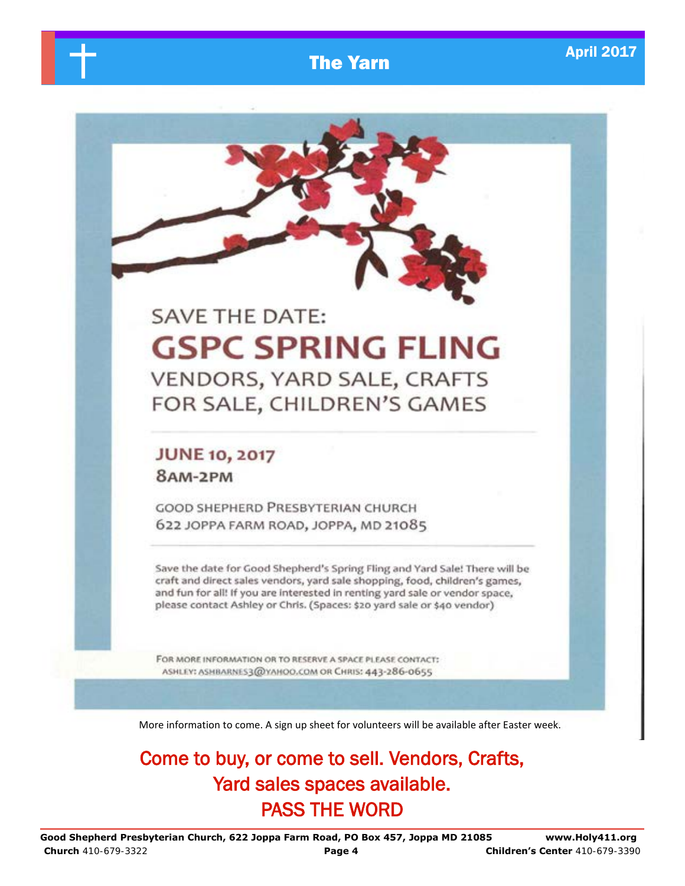# **The Yarn April 2017**

# **SAVE THE DATE: GSPC SPRING FLING** VENDORS, YARD SALE, CRAFTS FOR SALE, CHILDREN'S GAMES

## **JUNE 10, 2017** 8AM-2PM

**GOOD SHEPHERD PRESBYTERIAN CHURCH** 622 JOPPA FARM ROAD, JOPPA, MD 21085

Save the date for Good Shepherd's Spring Fling and Yard Sale! There will be craft and direct sales vendors, yard sale shopping, food, children's games, and fun for all! If you are interested in renting yard sale or vendor space, please contact Ashley or Chris. (Spaces: \$20 yard sale or \$40 vendor)

FOR MORE INFORMATION OR TO RESERVE A SPACE PLEASE CONTACT: ASHLEY: ASHBARNES3@YAHOO.COM OR CHRIS: 443-286-0655

More information to come. A sign up sheet for volunteers will be available after Easter week.

Come to buy, or come to sell. Vendors, Crafts, Yard sales spaces available. PASS THE WORD

**Good Shepherd Presbyterian Church, 622 Joppa Farm Road, PO Box 457, Joppa MD 21085 www.Holy411.org Church** 410-679-3322 **Page 4 Children's Center** 410-679-3390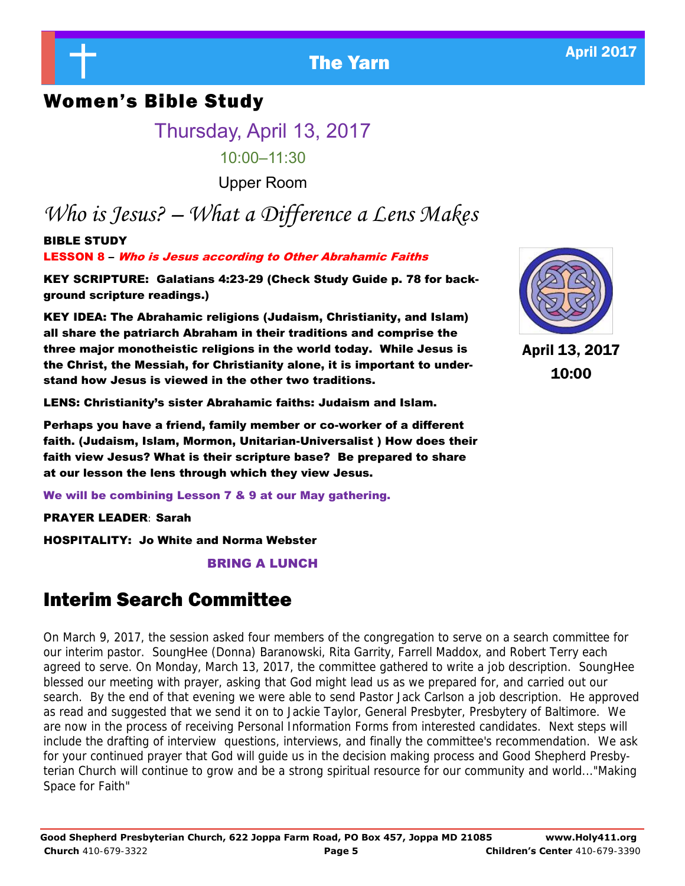# **The Yarn April 2017**

## Women's Bible Study

Thursday, April 13, 2017

10:00–11:30

Upper Room

# *Who is Jesus? – What a Difference a Lens Makes*

BIBLE STUDY LESSON 8 – Who is Jesus according to Other Abrahamic Faiths

KEY SCRIPTURE: Galatians 4:23-29 (Check Study Guide p. 78 for background scripture readings.)

KEY IDEA: The Abrahamic religions (Judaism, Christianity, and Islam) all share the patriarch Abraham in their traditions and comprise the three major monotheistic religions in the world today. While Jesus is the Christ, the Messiah, for Christianity alone, it is important to understand how Jesus is viewed in the other two traditions.

LENS: Christianity's sister Abrahamic faiths: Judaism and Islam.

Perhaps you have a friend, family member or co-worker of a different faith. (Judaism, Islam, Mormon, Unitarian-Universalist ) How does their faith view Jesus? What is their scripture base? Be prepared to share at our lesson the lens through which they view Jesus.

We will be combining Lesson 7 & 9 at our May gathering.

PRAYER LEADER: Sarah

HOSPITALITY: Jo White and Norma Webster

BRING A LUNCH

## Interim Search Committee

On March 9, 2017, the session asked four members of the congregation to serve on a search committee for our interim pastor. SoungHee (Donna) Baranowski, Rita Garrity, Farrell Maddox, and Robert Terry each agreed to serve. On Monday, March 13, 2017, the committee gathered to write a job description. SoungHee blessed our meeting with prayer, asking that God might lead us as we prepared for, and carried out our search. By the end of that evening we were able to send Pastor Jack Carlson a job description. He approved as read and suggested that we send it on to Jackie Taylor, General Presbyter, Presbytery of Baltimore. We are now in the process of receiving Personal Information Forms from interested candidates. Next steps will include the drafting of interview questions, interviews, and finally the committee's recommendation. We ask for your continued prayer that God will guide us in the decision making process and Good Shepherd Presbyterian Church will continue to grow and be a strong spiritual resource for our community and world..."Making Space for Faith"



April 13, 2017 10:00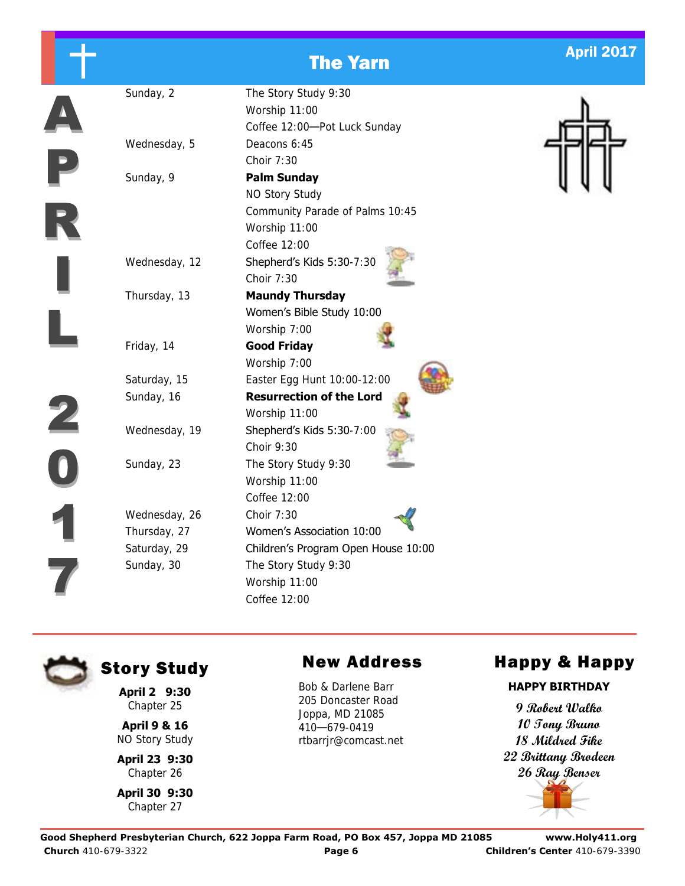|              |               | <b>The Yarn</b>                                                                                          | <b>April 2017</b> |
|--------------|---------------|----------------------------------------------------------------------------------------------------------|-------------------|
|              | Sunday, 2     | The Story Study 9:30<br>Worship 11:00<br>Coffee 12:00-Pot Luck Sunday                                    |                   |
|              | Wednesday, 5  | Deacons 6:45<br>Choir 7:30                                                                               |                   |
|              | Sunday, 9     | <b>Palm Sunday</b><br>NO Story Study<br>Community Parade of Palms 10:45<br>Worship 11:00<br>Coffee 12:00 |                   |
|              | Wednesday, 12 | Shepherd's Kids 5:30-7:30<br>Choir 7:30                                                                  |                   |
|              | Thursday, 13  | <b>Maundy Thursday</b><br>Women's Bible Study 10:00<br>Worship 7:00                                      |                   |
|              | Friday, 14    | <b>Good Friday</b><br>Worship 7:00                                                                       |                   |
|              | Saturday, 15  | Easter Egg Hunt 10:00-12:00                                                                              |                   |
|              | Sunday, 16    | <b>Resurrection of the Lord</b><br>Worship 11:00                                                         |                   |
| $\mathbf{z}$ | Wednesday, 19 | Shepherd's Kids 5:30-7:00<br>Choir 9:30                                                                  |                   |
|              | Sunday, 23    | The Story Study 9:30<br>Worship 11:00<br>Coffee 12:00                                                    |                   |
|              | Wednesday, 26 | Choir 7:30                                                                                               |                   |
|              | Thursday, 27  | Women's Association 10:00                                                                                |                   |
|              | Saturday, 29  | Children's Program Open House 10:00                                                                      |                   |
|              | Sunday, 30    | The Story Study 9:30                                                                                     |                   |
|              |               | Worship 11:00                                                                                            |                   |
|              |               | Coffee 12:00                                                                                             |                   |

**April 2 9:30**  Chapter 25

**April 9 & 16**  NO Story Study

**April 23 9:30**  Chapter 26

**April 30 9:30**  Chapter 27

Bob & Darlene Barr 205 Doncaster Road Joppa, MD 21085 410—679-0419 rtbarrjr@comcast.net

# Story Study Mew Address Happy & Happy

### **HAPPY BIRTHDAY**

**9 Robert Walko 10 Tony Bruno 18 Mildred Fike 22 Brittany Brodeen 26 Ray Benser**